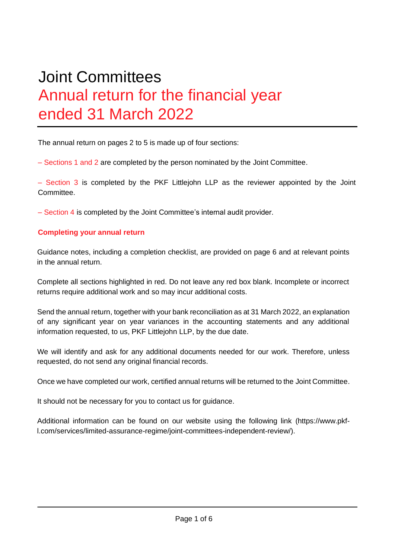# Joint Committees Annual return for the financial year ended 31 March 2022

The annual return on pages 2 to 5 is made up of four sections:

– Sections 1 and 2 are completed by the person nominated by the Joint Committee.

– Section 3 is completed by the PKF Littlejohn LLP as the reviewer appointed by the Joint Committee.

– Section 4 is completed by the Joint Committee's internal audit provider.

#### **Completing your annual return**

Guidance notes, including a completion checklist, are provided on page 6 and at relevant points in the annual return.

Complete all sections highlighted in red. Do not leave any red box blank. Incomplete or incorrect returns require additional work and so may incur additional costs.

Send the annual return, together with your bank reconciliation as at 31 March 2022, an explanation of any significant year on year variances in the accounting statements and any additional information requested, to us, PKF Littlejohn LLP, by the due date.

We will identify and ask for any additional documents needed for our work. Therefore, unless requested, do not send any original financial records.

Once we have completed our work, certified annual returns will be returned to the Joint Committee.

It should not be necessary for you to contact us for guidance.

Additional information can be found on our website using the following link (https://www.pkfl.com/services/limited-assurance-regime/joint-committees-independent-review/).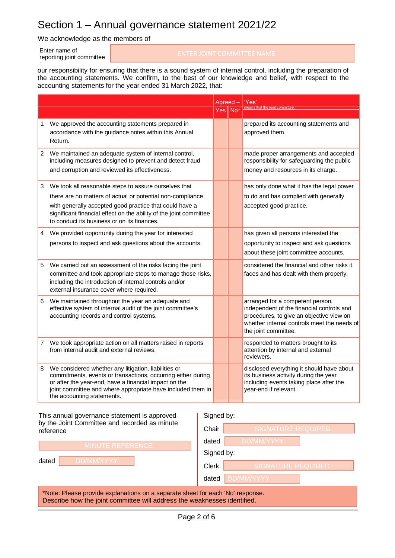### Section 1 – Annual governance statement 2021/22

We acknowledge as the members of

Enter name of reporting joint committee

our responsibility for ensuring that there is a sound system of internal control, including the preparation of the accounting statements. We confirm, to the best of our knowledge and belief, with respect to the accounting statements for the year ended 31 March 2022, that:

|   |                                                                                                                                                                                                                                                                                                     | Agreed-         |  | 'Yes'                                                                                                                                                                                            |
|---|-----------------------------------------------------------------------------------------------------------------------------------------------------------------------------------------------------------------------------------------------------------------------------------------------------|-----------------|--|--------------------------------------------------------------------------------------------------------------------------------------------------------------------------------------------------|
|   |                                                                                                                                                                                                                                                                                                     | $Yes \mid No^*$ |  | means that the joint committee                                                                                                                                                                   |
| 1 | We approved the accounting statements prepared in<br>accordance with the guidance notes within this Annual<br>Return.                                                                                                                                                                               |                 |  | prepared its accounting statements and<br>approved them.                                                                                                                                         |
| 2 | We maintained an adequate system of internal control,<br>including measures designed to prevent and detect fraud<br>and corruption and reviewed its effectiveness.                                                                                                                                  |                 |  | made proper arrangements and accepted<br>responsibility for safeguarding the public<br>money and resources in its charge.                                                                        |
| 3 | We took all reasonable steps to assure ourselves that<br>there are no matters of actual or potential non-compliance<br>with generally accepted good practice that could have a<br>significant financial effect on the ability of the joint committee<br>to conduct its business or on its finances. |                 |  | has only done what it has the legal power<br>to do and has complied with generally<br>accepted good practice.                                                                                    |
| 4 | We provided opportunity during the year for interested<br>persons to inspect and ask questions about the accounts.                                                                                                                                                                                  |                 |  | has given all persons interested the<br>opportunity to inspect and ask questions<br>about these joint committee accounts.                                                                        |
| 5 | We carried out an assessment of the risks facing the joint<br>committee and took appropriate steps to manage those risks,<br>including the introduction of internal controls and/or<br>external insurance cover where required.                                                                     |                 |  | considered the financial and other risks it<br>faces and has dealt with them properly.                                                                                                           |
| 6 | We maintained throughout the year an adequate and<br>effective system of internal audit of the joint committee's<br>accounting records and control systems.                                                                                                                                         |                 |  | arranged for a competent person,<br>independent of the financial controls and<br>procedures, to give an objective view on<br>whether internal controls meet the needs of<br>the joint committee. |
| 7 | We took appropriate action on all matters raised in reports<br>from internal audit and external reviews.                                                                                                                                                                                            |                 |  | responded to matters brought to its<br>attention by internal and external<br>reviewers.                                                                                                          |
| 8 | We considered whether any litigation, liabilities or<br>commitments, events or transactions, occurring either during<br>or after the year-end, have a financial impact on the<br>joint committee and where appropriate have included them in<br>the accounting statements.                          |                 |  | disclosed everything it should have about<br>its business activity during the year<br>including events taking place after the<br>year-end if relevant.                                           |

This annual governance statement is approved by the Joint Committee and recorded as minute reference

| Signed by: |  |
|------------|--|
|            |  |

dated

| Chair      | SIGNATURE REQUIRED        |  |  |  |  |
|------------|---------------------------|--|--|--|--|
| dated      | DD/MM/YYYY                |  |  |  |  |
| Signed by: |                           |  |  |  |  |
| Clerk      | <b>SIGNATURE REQUIRED</b> |  |  |  |  |
| dated      | DD/MM/YYYY                |  |  |  |  |

\*Note: Please provide explanations on a separate sheet for each 'No' response. Describe how the joint committee will address the weaknesses identified.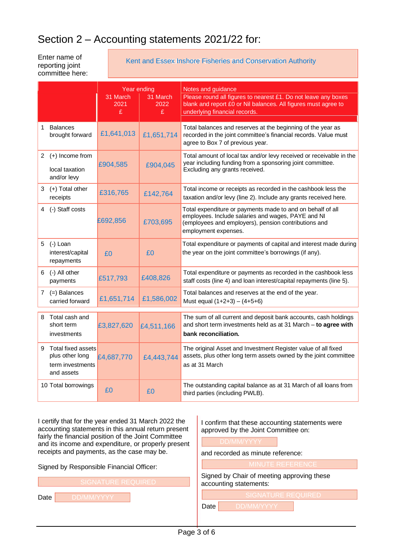### Section 2 – Accounting statements 2021/22 for:

committee here:

## Enter name of **ENTER 19 IOINT COMMITTEE INCORDIT**<br>reporting joint **COMMITTEE INCORDITY** Kent and Essex Inshore Fisheries and Conservation Authority

| committee here: |                                                                         |                                      |                       |                                                                                                                                                                                                  |  |
|-----------------|-------------------------------------------------------------------------|--------------------------------------|-----------------------|--------------------------------------------------------------------------------------------------------------------------------------------------------------------------------------------------|--|
|                 |                                                                         | Year ending<br>31 March<br>2021<br>£ | 31 March<br>2022<br>£ | Notes and guidance<br>Please round all figures to nearest £1. Do not leave any boxes<br>blank and report £0 or Nil balances. All figures must agree to<br>underlying financial records.          |  |
| 1               | <b>Balances</b><br>brought forward                                      | £1,641,013                           | £1,651,714            | Total balances and reserves at the beginning of the year as<br>recorded in the joint committee's financial records. Value must<br>agree to Box 7 of previous year.                               |  |
|                 | 2 $(+)$ Income from<br>local taxation<br>and/or levy                    | £904,585                             | £904,045              | Total amount of local tax and/or levy received or receivable in the<br>year including funding from a sponsoring joint committee.<br>Excluding any grants received.                               |  |
| 3.              | (+) Total other<br>receipts                                             | £316,765                             | £142,764              | Total income or receipts as recorded in the cashbook less the<br>taxation and/or levy (line 2). Include any grants received here.                                                                |  |
| 4               | (-) Staff costs                                                         | £692,856                             | £703,695              | Total expenditure or payments made to and on behalf of all<br>employees. Include salaries and wages, PAYE and NI<br>(employees and employers), pension contributions and<br>employment expenses. |  |
| 5               | (-) Loan<br>interest/capital<br>repayments                              | £O                                   | £0                    | Total expenditure or payments of capital and interest made during<br>the year on the joint committee's borrowings (if any).                                                                      |  |
|                 | 6 (-) All other<br>payments                                             | £517,793                             | £408,826              | Total expenditure or payments as recorded in the cashbook less<br>staff costs (line 4) and loan interest/capital repayments (line 5).                                                            |  |
|                 | $7$ (=) Balances<br>carried forward                                     | £1,651,714                           | £1,586,002            | Total balances and reserves at the end of the year.<br>Must equal $(1+2+3) - (4+5+6)$                                                                                                            |  |
| 8               | Total cash and<br>short term<br>investments                             | £3,827,620                           | £4,511,166            | The sum of all current and deposit bank accounts, cash holdings<br>and short term investments held as at 31 March - to agree with<br>bank reconciliation.                                        |  |
| 9               | Total fixed assets<br>plus other long<br>term investments<br>and assets | £4,687,770                           | £4,443,744            | The original Asset and Investment Register value of all fixed<br>assets, plus other long term assets owned by the joint committee<br>as at 31 March                                              |  |
|                 | 10 Total borrowings                                                     | £0                                   | £0                    | The outstanding capital balance as at 31 March of all loans from<br>third parties (including PWLB).                                                                                              |  |

I certify that for the year ended 31 March 2022 the accounting statements in this annual return present fairly the financial position of the Joint Committee and its income and expenditure, or properly present receipts and payments, as the case may be.

Signed by Responsible Financial Officer:

Date DD/MM

I confirm that these accounting statements were approved by the Joint Committee on:

and recorded as minute reference:

Signed by Chair of meeting approving these accounting statements:

Date DD/MM/YYY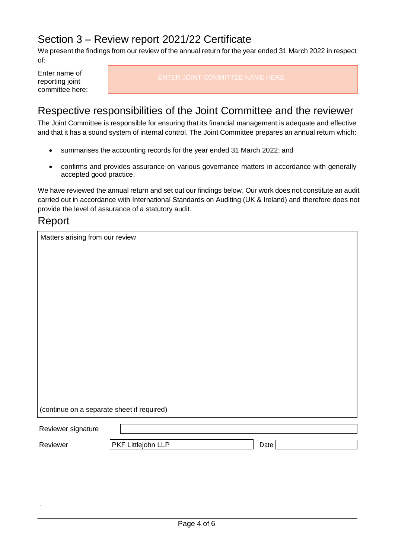### Section 3 – Review report 2021/22 Certificate

We present the findings from our review of the annual return for the year ended 31 March 2022 in respect of:

committee here:

Enter name of ENTER JOINT COMMITTEE NAME HERE reporting joint

#### Respective responsibilities of the Joint Committee and the reviewer

The Joint Committee is responsible for ensuring that its financial management is adequate and effective and that it has a sound system of internal control. The Joint Committee prepares an annual return which:

- summarises the accounting records for the year ended 31 March 2022; and
- confirms and provides assurance on various governance matters in accordance with generally accepted good practice.

We have reviewed the annual return and set out our findings below. Our work does not constitute an audit carried out in accordance with International Standards on Auditing (UK & Ireland) and therefore does not provide the level of assurance of a statutory audit.

#### Report

.

|                                            | Matters arising from our review |      |  |  |  |  |
|--------------------------------------------|---------------------------------|------|--|--|--|--|
|                                            |                                 |      |  |  |  |  |
|                                            |                                 |      |  |  |  |  |
|                                            |                                 |      |  |  |  |  |
|                                            |                                 |      |  |  |  |  |
|                                            |                                 |      |  |  |  |  |
|                                            |                                 |      |  |  |  |  |
|                                            |                                 |      |  |  |  |  |
|                                            |                                 |      |  |  |  |  |
|                                            |                                 |      |  |  |  |  |
|                                            |                                 |      |  |  |  |  |
|                                            |                                 |      |  |  |  |  |
| (continue on a separate sheet if required) |                                 |      |  |  |  |  |
| Reviewer signature                         |                                 |      |  |  |  |  |
| Reviewer                                   | PKF Littlejohn LLP              | Date |  |  |  |  |
|                                            |                                 |      |  |  |  |  |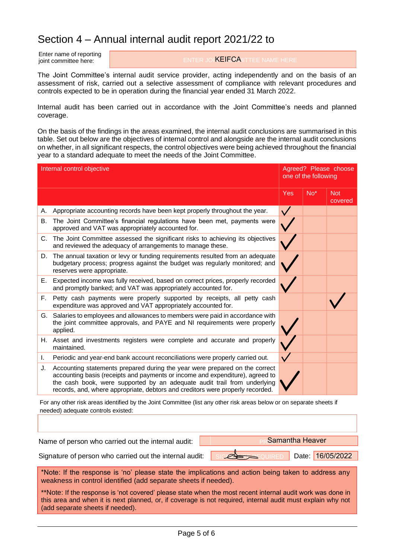#### Section 4 – Annual internal audit report 2021/22 to

Enter name of reporting joint committee here:

ENTER JOIKEIFCAIITTEE NAME HERE

The Joint Committee's internal audit service provider, acting independently and on the basis of an assessment of risk, carried out a selective assessment of compliance with relevant procedures and controls expected to be in operation during the financial year ended 31 March 2022.

Internal audit has been carried out in accordance with the Joint Committee's needs and planned coverage.

On the basis of the findings in the areas examined, the internal audit conclusions are summarised in this table. Set out below are the objectives of internal control and alongside are the internal audit conclusions on whether, in all significant respects, the control objectives were being achieved throughout the financial year to a standard adequate to meet the needs of the Joint Committee.

| Internal control objective |                                                                                                                                                                                                                                                                                                                            |            | Agreed? Please choose<br>one of the following |                       |  |
|----------------------------|----------------------------------------------------------------------------------------------------------------------------------------------------------------------------------------------------------------------------------------------------------------------------------------------------------------------------|------------|-----------------------------------------------|-----------------------|--|
|                            |                                                                                                                                                                                                                                                                                                                            | <b>Yes</b> | $No*$                                         | <b>Not</b><br>covered |  |
| А.                         | Appropriate accounting records have been kept properly throughout the year.                                                                                                                                                                                                                                                |            |                                               |                       |  |
| В.                         | The Joint Committee's financial regulations have been met, payments were<br>approved and VAT was appropriately accounted for.                                                                                                                                                                                              |            |                                               |                       |  |
|                            | C. The Joint Committee assessed the significant risks to achieving its objectives<br>and reviewed the adequacy of arrangements to manage these.                                                                                                                                                                            |            |                                               |                       |  |
| D.                         | The annual taxation or levy or funding requirements resulted from an adequate<br>budgetary process; progress against the budget was regularly monitored; and<br>reserves were appropriate.                                                                                                                                 |            |                                               |                       |  |
| Е.                         | Expected income was fully received, based on correct prices, properly recorded<br>and promptly banked; and VAT was appropriately accounted for.                                                                                                                                                                            |            |                                               |                       |  |
| F.                         | Petty cash payments were properly supported by receipts, all petty cash<br>expenditure was approved and VAT appropriately accounted for.                                                                                                                                                                                   |            |                                               |                       |  |
|                            | G. Salaries to employees and allowances to members were paid in accordance with<br>the joint committee approvals, and PAYE and NI requirements were properly<br>applied.                                                                                                                                                   |            |                                               |                       |  |
|                            | H. Asset and investments registers were complete and accurate and properly<br>maintained.                                                                                                                                                                                                                                  |            |                                               |                       |  |
| I.                         | Periodic and year-end bank account reconciliations were properly carried out.                                                                                                                                                                                                                                              |            |                                               |                       |  |
| J.                         | Accounting statements prepared during the year were prepared on the correct<br>accounting basis (receipts and payments or income and expenditure), agreed to<br>the cash book, were supported by an adequate audit trail from underlying<br>records, and, where appropriate, debtors and creditors were properly recorded. |            |                                               |                       |  |

For any other risk areas identified by the Joint Committee (list any other risk areas below or on separate sheets if needed) adequate controls existed:

Name of person who carried out the internal audit:

Samantha Heaver

Date: 16/05/2022

Signature of person who carried out the internal audit: SIGLATURE

\*Note: If the response is 'no' please state the implications and action being taken to address any weakness in control identified (add separate sheets if needed).

\*\*Note: If the response is 'not covered' please state when the most recent internal audit work was done in this area and when it is next planned, or, if coverage is not required, internal audit must explain why not (add separate sheets if needed).